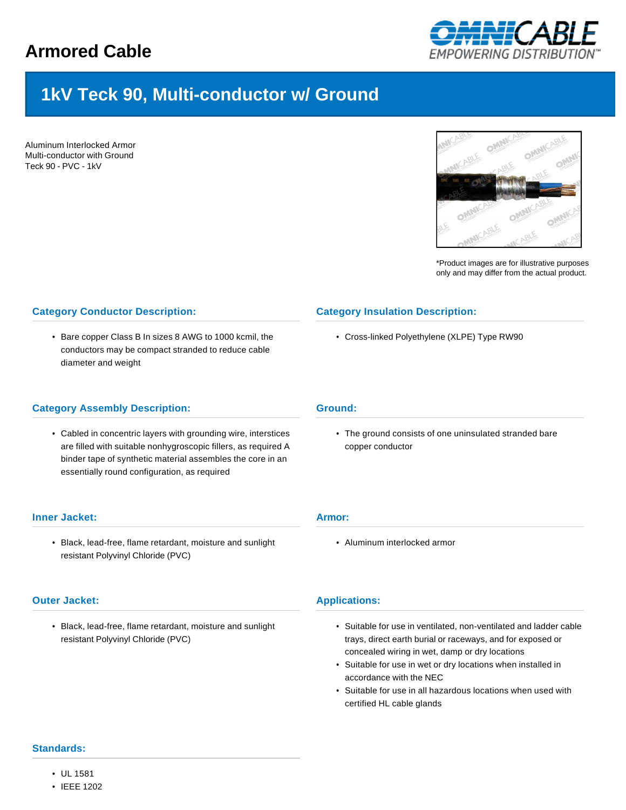

# **1kV Teck 90, Multi-conductor w/ Ground**

Aluminum Interlocked Armor Multi-conductor with Ground Teck 90 - PVC - 1kV



\*Product images are for illustrative purposes only and may differ from the actual product.

# **Category Conductor Description:**

• Bare copper Class B In sizes 8 AWG to 1000 kcmil, the conductors may be compact stranded to reduce cable diameter and weight

# **Category Assembly Description:**

• Cabled in concentric layers with grounding wire, interstices are filled with suitable nonhygroscopic fillers, as required A binder tape of synthetic material assembles the core in an essentially round configuration, as required

## **Inner Jacket:**

• Black, lead-free, flame retardant, moisture and sunlight resistant Polyvinyl Chloride (PVC)

## **Outer Jacket:**

• Black, lead-free, flame retardant, moisture and sunlight resistant Polyvinyl Chloride (PVC)

## **Category Insulation Description:**

• Cross-linked Polyethylene (XLPE) Type RW90

#### **Ground:**

• The ground consists of one uninsulated stranded bare copper conductor

### **Armor:**

• Aluminum interlocked armor

#### **Applications:**

- Suitable for use in ventilated, non-ventilated and ladder cable trays, direct earth burial or raceways, and for exposed or concealed wiring in wet, damp or dry locations
- Suitable for use in wet or dry locations when installed in accordance with the NEC
- Suitable for use in all hazardous locations when used with certified HL cable glands

## **Standards:**

- UL 1581
- IEEE 1202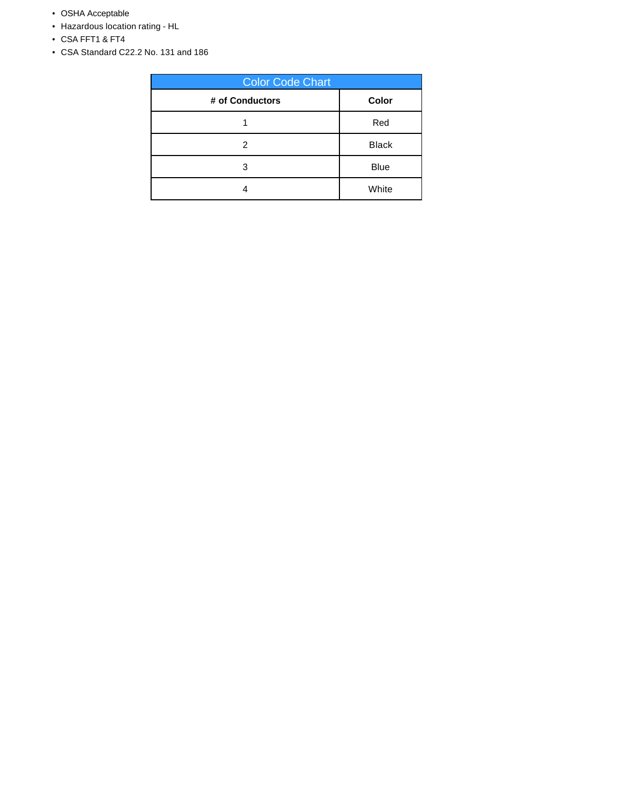- OSHA Acceptable
- Hazardous location rating HL
- CSA FFT1 & FT4
- CSA Standard C22.2 No. 131 and 186

| <b>Color Code Chart</b> |              |  |  |  |  |  |
|-------------------------|--------------|--|--|--|--|--|
| # of Conductors         | Color        |  |  |  |  |  |
|                         | Red          |  |  |  |  |  |
| 2                       | <b>Black</b> |  |  |  |  |  |
| 3                       | <b>Blue</b>  |  |  |  |  |  |
|                         | White        |  |  |  |  |  |